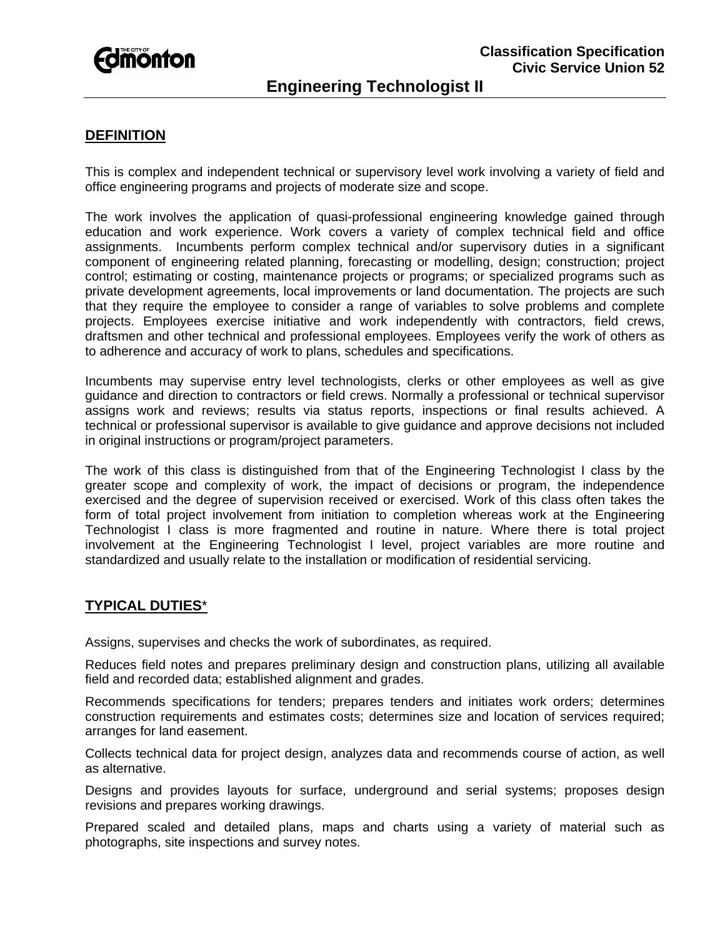

# **Engineering Technologist II**

## **DEFINITION**

This is complex and independent technical or supervisory level work involving a variety of field and office engineering programs and projects of moderate size and scope.

The work involves the application of quasi-professional engineering knowledge gained through education and work experience. Work covers a variety of complex technical field and office assignments. Incumbents perform complex technical and/or supervisory duties in a significant component of engineering related planning, forecasting or modelling, design; construction; project control; estimating or costing, maintenance projects or programs; or specialized programs such as private development agreements, local improvements or land documentation. The projects are such that they require the employee to consider a range of variables to solve problems and complete projects. Employees exercise initiative and work independently with contractors, field crews, draftsmen and other technical and professional employees. Employees verify the work of others as to adherence and accuracy of work to plans, schedules and specifications.

Incumbents may supervise entry level technologists, clerks or other employees as well as give guidance and direction to contractors or field crews. Normally a professional or technical supervisor assigns work and reviews; results via status reports, inspections or final results achieved. A technical or professional supervisor is available to give guidance and approve decisions not included in original instructions or program/project parameters.

The work of this class is distinguished from that of the Engineering Technologist I class by the greater scope and complexity of work, the impact of decisions or program, the independence exercised and the degree of supervision received or exercised. Work of this class often takes the form of total project involvement from initiation to completion whereas work at the Engineering Technologist I class is more fragmented and routine in nature. Where there is total project involvement at the Engineering Technologist I level, project variables are more routine and standardized and usually relate to the installation or modification of residential servicing.

#### **TYPICAL DUTIES**\*

Assigns, supervises and checks the work of subordinates, as required.

Reduces field notes and prepares preliminary design and construction plans, utilizing all available field and recorded data; established alignment and grades.

Recommends specifications for tenders; prepares tenders and initiates work orders; determines construction requirements and estimates costs; determines size and location of services required; arranges for land easement.

Collects technical data for project design, analyzes data and recommends course of action, as well as alternative.

Designs and provides layouts for surface, underground and serial systems; proposes design revisions and prepares working drawings.

Prepared scaled and detailed plans, maps and charts using a variety of material such as photographs, site inspections and survey notes.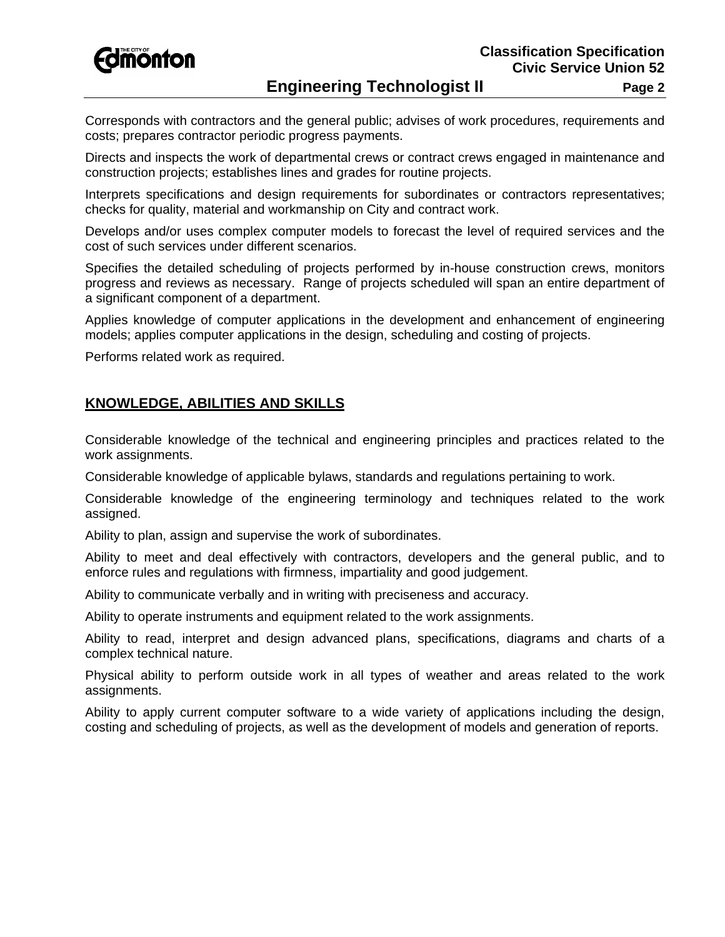**Fdmönton** 

Corresponds with contractors and the general public; advises of work procedures, requirements and costs; prepares contractor periodic progress payments.

Directs and inspects the work of departmental crews or contract crews engaged in maintenance and construction projects; establishes lines and grades for routine projects.

Interprets specifications and design requirements for subordinates or contractors representatives; checks for quality, material and workmanship on City and contract work.

Develops and/or uses complex computer models to forecast the level of required services and the cost of such services under different scenarios.

Specifies the detailed scheduling of projects performed by in-house construction crews, monitors progress and reviews as necessary. Range of projects scheduled will span an entire department of a significant component of a department.

Applies knowledge of computer applications in the development and enhancement of engineering models; applies computer applications in the design, scheduling and costing of projects.

Performs related work as required.

## **KNOWLEDGE, ABILITIES AND SKILLS**

Considerable knowledge of the technical and engineering principles and practices related to the work assignments.

Considerable knowledge of applicable bylaws, standards and regulations pertaining to work.

Considerable knowledge of the engineering terminology and techniques related to the work assigned.

Ability to plan, assign and supervise the work of subordinates.

Ability to meet and deal effectively with contractors, developers and the general public, and to enforce rules and regulations with firmness, impartiality and good judgement.

Ability to communicate verbally and in writing with preciseness and accuracy.

Ability to operate instruments and equipment related to the work assignments.

Ability to read, interpret and design advanced plans, specifications, diagrams and charts of a complex technical nature.

Physical ability to perform outside work in all types of weather and areas related to the work assignments.

Ability to apply current computer software to a wide variety of applications including the design, costing and scheduling of projects, as well as the development of models and generation of reports.